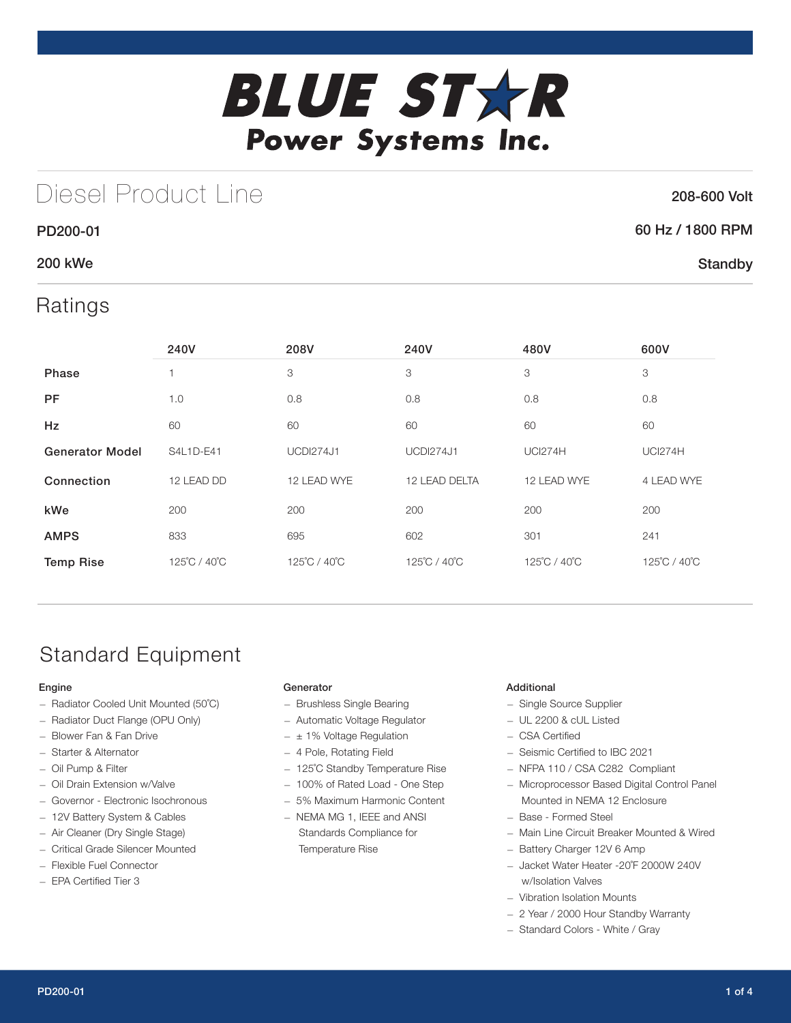

## Diesel Product Line

#### 208-600 Volt

**Standby** 

## 60 Hz / 1800 RPM

### 200 kWe

PD200-01

### Ratings

|                        | 240V         | 208V             | 240V             | 480V           | 600V           |
|------------------------|--------------|------------------|------------------|----------------|----------------|
| Phase                  |              | 3                | 3                | 3              | 3              |
| <b>PF</b>              | 1.0          | 0.8              | 0.8              | 0.8            | 0.8            |
| Hz                     | 60           | 60               | 60               | 60             | 60             |
| <b>Generator Model</b> | S4L1D-E41    | <b>UCDI274J1</b> | <b>UCDI274J1</b> | <b>UCI274H</b> | <b>UCI274H</b> |
| Connection             | 12 LEAD DD   | 12 LEAD WYE      | 12 LEAD DELTA    | 12 LEAD WYE    | 4 LEAD WYE     |
| kWe                    | 200          | 200              | 200              | 200            | 200            |
| <b>AMPS</b>            | 833          | 695              | 602              | 301            | 241            |
| <b>Temp Rise</b>       | 125°C / 40°C | 125°C / 40°C     | 125°C / 40°C     | 125°C / 40°C   | 125°C / 40°C   |

## Standard Equipment

#### Engine

- Radiator Cooled Unit Mounted (50˚C)
- Radiator Duct Flange (OPU Only)
- Blower Fan & Fan Drive
- Starter & Alternator
- Oil Pump & Filter
- Oil Drain Extension w/Valve
- Governor Electronic Isochronous
- 12V Battery System & Cables
- Air Cleaner (Dry Single Stage)
- Critical Grade Silencer Mounted
- Flexible Fuel Connector
- EPA Certified Tier 3

#### Generator

- Brushless Single Bearing
- Automatic Voltage Regulator
- $\pm$  1% Voltage Regulation
- 4 Pole, Rotating Field
- 125˚C Standby Temperature Rise
- 100% of Rated Load One Step
- 5% Maximum Harmonic Content
- NEMA MG 1, IEEE and ANSI Standards Compliance for Temperature Rise

#### Additional

- Single Source Supplier
- UL 2200 & cUL Listed
- CSA Certified
- Seismic Certified to IBC 2021
- NFPA 110 / CSA C282 Compliant
- Microprocessor Based Digital Control Panel Mounted in NEMA 12 Enclosure
- Base Formed Steel
- Main Line Circuit Breaker Mounted & Wired
- Battery Charger 12V 6 Amp
- Jacket Water Heater -20˚F 2000W 240V w/Isolation Valves
- Vibration Isolation Mounts
- 2 Year / 2000 Hour Standby Warranty
- Standard Colors White / Gray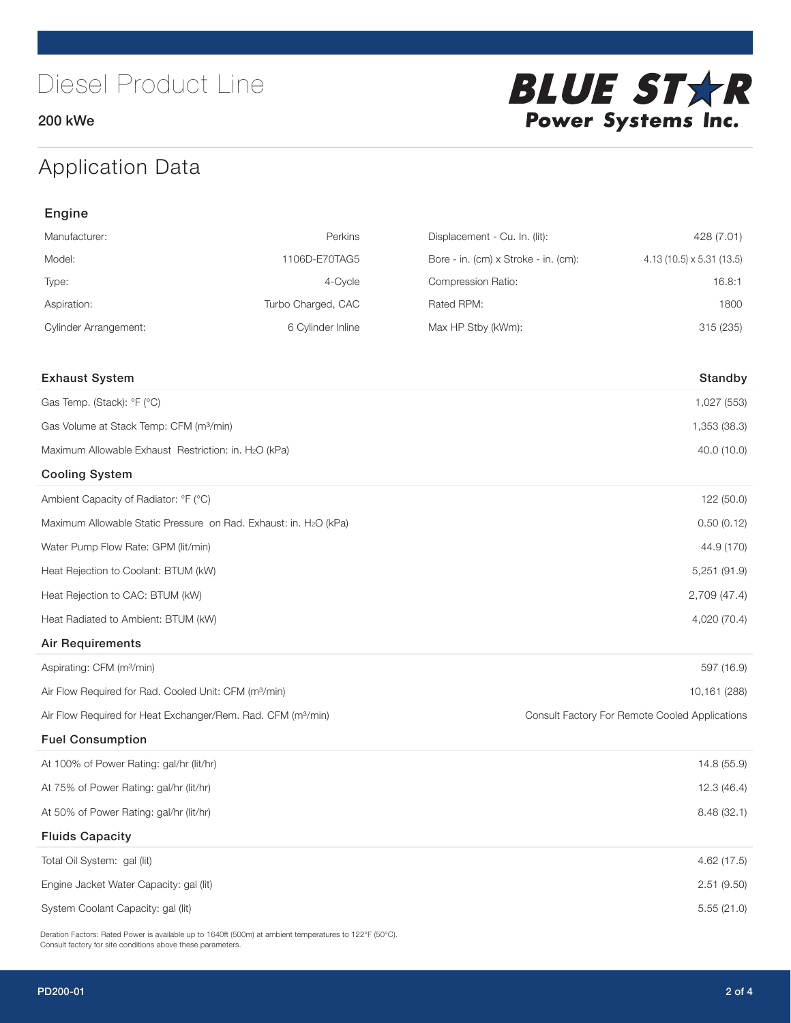200 kWe



### Application Data

| Engine                                                                   |                    |                                      |                                                |
|--------------------------------------------------------------------------|--------------------|--------------------------------------|------------------------------------------------|
| Manufacturer:                                                            | Perkins            | Displacement - Cu. In. (lit):        | 428 (7.01)                                     |
| Model:                                                                   | 1106D-E70TAG5      | Bore - in. (cm) x Stroke - in. (cm): | 4.13 (10.5) x 5.31 (13.5)                      |
| Type:                                                                    | 4-Cycle            | Compression Ratio:                   | 16.8:1                                         |
| Aspiration:                                                              | Turbo Charged, CAC | Rated RPM:                           | 1800                                           |
| <b>Cylinder Arrangement:</b>                                             | 6 Cylinder Inline  | Max HP Stby (kWm):                   | 315 (235)                                      |
| <b>Exhaust System</b>                                                    |                    |                                      | Standby                                        |
| Gas Temp. (Stack): °F (°C)                                               |                    |                                      | 1,027 (553)                                    |
| Gas Volume at Stack Temp: CFM (m <sup>3</sup> /min)                      |                    |                                      | 1,353 (38.3)                                   |
| Maximum Allowable Exhaust Restriction: in. H2O (kPa)                     |                    |                                      | 40.0 (10.0)                                    |
| <b>Cooling System</b>                                                    |                    |                                      |                                                |
| Ambient Capacity of Radiator: °F (°C)                                    |                    |                                      | 122 (50.0)                                     |
| Maximum Allowable Static Pressure on Rad. Exhaust: in. H2O (kPa)         |                    |                                      | 0.50(0.12)                                     |
| Water Pump Flow Rate: GPM (lit/min)                                      |                    |                                      | 44.9 (170)                                     |
| Heat Rejection to Coolant: BTUM (kW)                                     |                    |                                      | 5,251(91.9)                                    |
| Heat Rejection to CAC: BTUM (kW)                                         |                    |                                      | 2,709 (47.4)                                   |
| Heat Radiated to Ambient: BTUM (kW)                                      |                    |                                      | 4,020 (70.4)                                   |
| <b>Air Requirements</b>                                                  |                    |                                      |                                                |
| Aspirating: CFM (m <sup>3</sup> /min)                                    |                    |                                      | 597 (16.9)                                     |
| Air Flow Required for Rad. Cooled Unit: CFM (m <sup>3</sup> /min)        |                    |                                      | 10,161 (288)                                   |
| Air Flow Required for Heat Exchanger/Rem. Rad. CFM (m <sup>3</sup> /min) |                    |                                      | Consult Factory For Remote Cooled Applications |
| <b>Fuel Consumption</b>                                                  |                    |                                      |                                                |
| At 100% of Power Rating: gal/hr (lit/hr)                                 |                    |                                      | 14.8 (55.9)                                    |
| At 75% of Power Rating: gal/hr (lit/hr)                                  |                    |                                      | 12.3 (46.4)                                    |
| At 50% of Power Rating: gal/hr (lit/hr)                                  |                    |                                      | 8.48 (32.1)                                    |
| <b>Fluids Capacity</b>                                                   |                    |                                      |                                                |
| Total Oil System: gal (lit)                                              |                    |                                      | 4.62 (17.5)                                    |
| Engine Jacket Water Capacity: gal (lit)                                  |                    |                                      | 2.51(9.50)                                     |
| System Coolant Capacity: gal (lit)                                       |                    |                                      | 5.55(21.0)                                     |

Deration Factors: Rated Power is available up to 1640ft (500m) at ambient temperatures to 122°F (50°C). Consult factory for site conditions above these parameters.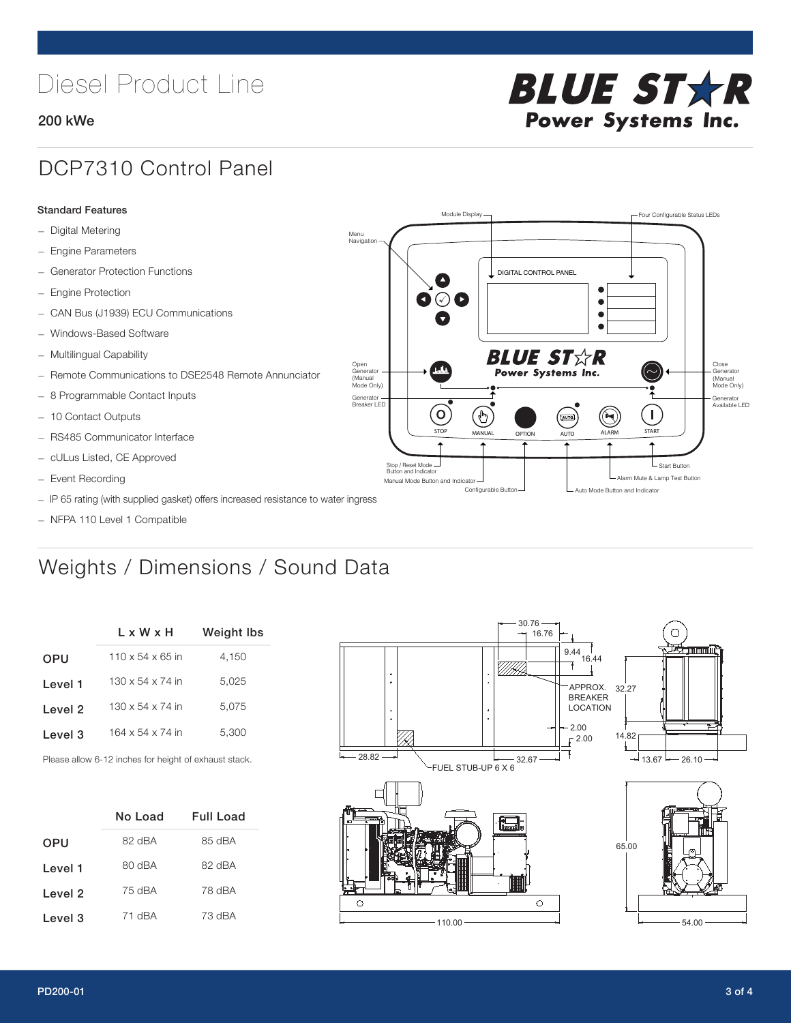# Diesel Product Line

#### 200 kWe



### DCP7310 Control Panel

#### Standard Features

- Digital Metering
- Engine Parameters
- Generator Protection Functions
- Engine Protection
- CAN Bus (J1939) ECU Communications
- Windows-Based Software
- Multilingual Capability
- Remote Communications to DSE2548 Remote Annunciator
- 8 Programmable Contact Inputs
- 10 Contact Outputs
- RS485 Communicator Interface
- cULus Listed, CE Approved
- Event Recording
- IP 65 rating (with supplied gasket) offers increased resistance to water ingress
- NFPA 110 Level 1 Compatible

### Weights / Dimensions / Sound Data

|            | $L \times W \times H$        | <b>Weight lbs</b> |
|------------|------------------------------|-------------------|
| <b>OPU</b> | $110 \times 54 \times 65$ in | 4,150             |
| Level 1    | $130 \times 54 \times 74$ in | 5.025             |
| Level 2    | $130 \times 54 \times 74$ in | 5,075             |
| Level 3    | 164 x 54 x 74 in             | 5,300             |
|            |                              |                   |

Please allow 6-12 inches for height of exhaust stack.

|         | No Load | Full Load |
|---------|---------|-----------|
| OPU     | 82 dBA  | 85 dBA    |
| Level 1 | 80 dBA  | 82 dBA    |
| Level 2 | 75 dBA  | 78 dBA    |
| Level 3 | 71 dBA  | 73 dBA    |



STOP MANUAL OPTION AUTO ALARM START

.<br>[AUTO]

**BLUE STAR** Power Systems Inc.

Manual Mode Button and Indicator United States and Indicator United States and Indicator United States and Indicator United States and Indicator United States and Indicator United States and Indicator United States and Ind Configurable Button -  $\Box$  Auto Mode Button and Indicator

DIGITAL CONTROL PANEL

Module Display  $\Box$ 

 $\bullet$  $\bullet$  $\bullet$ 

 $\circledcirc$ 

Menu Navigation

Open Generator (Manual Mode Only)

Generator Breaker LED

Stop / Reset Mode Button and Indicator

 $\bullet$  $\overline{\bullet}$ 

 $\sigma$ 

՟Պ

Close Generator (Manual Mode Only)

Generator Available LED

L Start Button

 $\blacksquare$